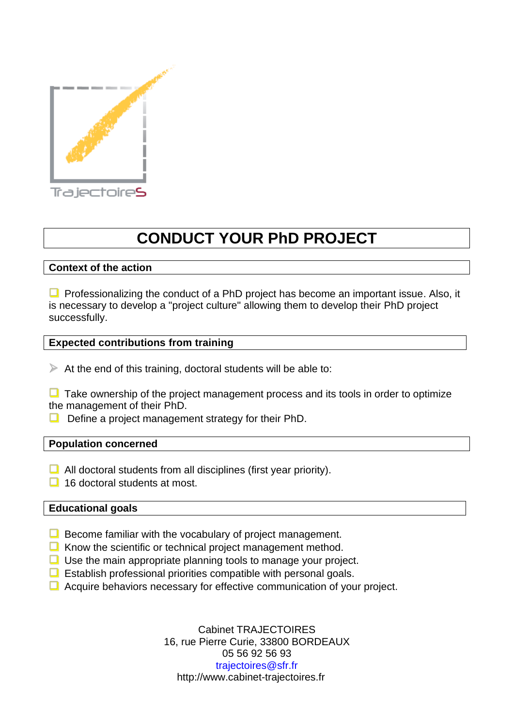

# **CONDUCT YOUR PhD PROJECT**

## **Context of the action**

 $\Box$  Professionalizing the conduct of a PhD project has become an important issue. Also, it is necessary to develop a "project culture" allowing them to develop their PhD project successfully.

### **Expected contributions from training**

 $\triangleright$  At the end of this training, doctoral students will be able to:

 $\Box$  Take ownership of the project management process and its tools in order to optimize the management of their PhD.

 $\Box$  Define a project management strategy for their PhD.

#### **Population concerned**

- $\Box$  All doctoral students from all disciplines (first year priority).
- $\Box$  16 doctoral students at most.

### **Educational goals**

- $\Box$  Become familiar with the vocabulary of project management.
- $\Box$  Know the scientific or technical project management method.
- $\Box$  Use the main appropriate planning tools to manage your project.
- $\Box$  Establish professional priorities compatible with personal goals.
- $\Box$  Acquire behaviors necessary for effective communication of your project.

Cabinet TRAJECTOIRES 16, rue Pierre Curie, 33800 BORDEAUX 05 56 92 56 93 trajectoires@sfr.fr http://www.cabinet-trajectoires.fr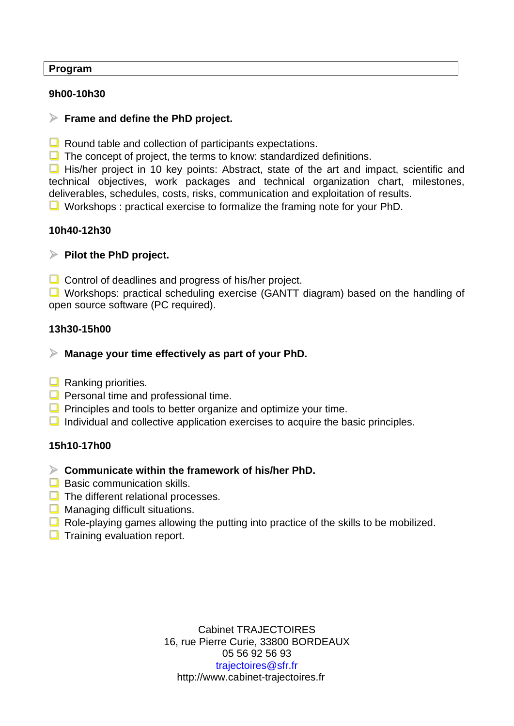### **Program**

## **9h00-10h30**

## **Frame and define the PhD project.**

 $\Box$  Round table and collection of participants expectations.

 $\Box$  The concept of project, the terms to know: standardized definitions.

His/her project in 10 key points: Abstract, state of the art and impact, scientific and technical objectives, work packages and technical organization chart, milestones, deliverables, schedules, costs, risks, communication and exploitation of results.

 $\Box$  Workshops : practical exercise to formalize the framing note for your PhD.

# **10h40-12h30**

# **Pilot the PhD project.**

 $\Box$  Control of deadlines and progress of his/her project.

**U** Workshops: practical scheduling exercise (GANTT diagram) based on the handling of open source software (PC required).

## **13h30-15h00**

# **Manage your time effectively as part of your PhD.**

- $\Box$  Ranking priorities.
- $\Box$  Personal time and professional time.
- $\Box$  Principles and tools to better organize and optimize your time.
- $\Box$  Individual and collective application exercises to acquire the basic principles.

### **15h10-17h00**

- **Communicate within the framework of his/her PhD.**
- $\Box$  Basic communication skills.
- $\Box$  The different relational processes.
- $\Box$  Managing difficult situations.
- $\Box$  Role-playing games allowing the putting into practice of the skills to be mobilized.
- $\Box$  Training evaluation report.

Cabinet TRAJECTOIRES 16, rue Pierre Curie, 33800 BORDEAUX 05 56 92 56 93 trajectoires@sfr.fr http://www.cabinet-trajectoires.fr